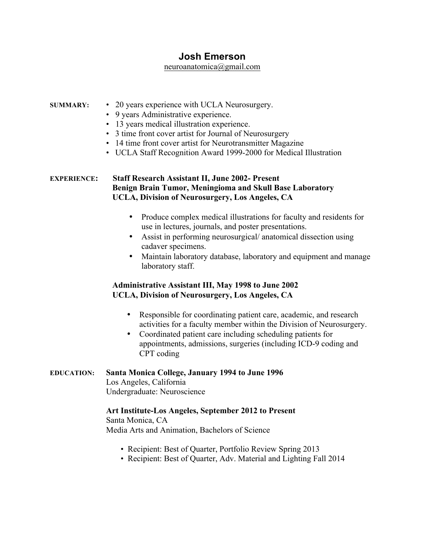# **Josh Emerson**

#### neuroanatomica@gmail.com

#### **SUMMARY:** • 20 years experience with UCLA Neurosurgery.

- 9 years Administrative experience.
- 13 years medical illustration experience.
- 3 time front cover artist for Journal of Neurosurgery
- 14 time front cover artist for Neurotransmitter Magazine
- UCLA Staff Recognition Award 1999-2000 for Medical Illustration

## **EXPERIENCE: Staff Research Assistant II, June 2002- Present Benign Brain Tumor, Meningioma and Skull Base Laboratory UCLA, Division of Neurosurgery, Los Angeles, CA**

- Produce complex medical illustrations for faculty and residents for use in lectures, journals, and poster presentations.
- Assist in performing neurosurgical/ anatomical dissection using cadaver specimens.
- Maintain laboratory database, laboratory and equipment and manage laboratory staff.

# **Administrative Assistant III, May 1998 to June 2002 UCLA, Division of Neurosurgery, Los Angeles, CA**

- Responsible for coordinating patient care, academic, and research activities for a faculty member within the Division of Neurosurgery.
- Coordinated patient care including scheduling patients for appointments, admissions, surgeries (including ICD-9 coding and CPT coding

## **EDUCATION: Santa Monica College, January 1994 to June 1996**

Los Angeles, California Undergraduate: Neuroscience

## **Art Institute-Los Angeles, September 2012 to Present**

Santa Monica, CA Media Arts and Animation, Bachelors of Science

- Recipient: Best of Quarter, Portfolio Review Spring 2013
- Recipient: Best of Quarter, Adv. Material and Lighting Fall 2014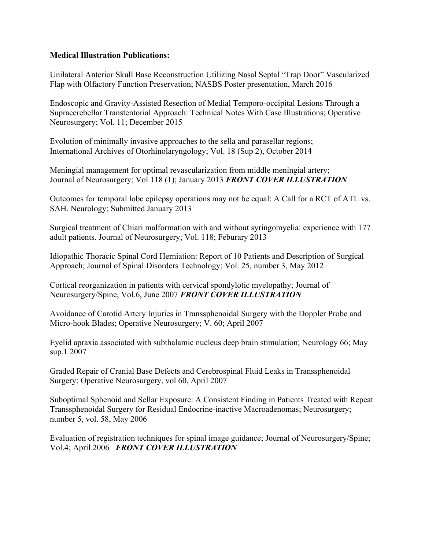# **Medical Illustration Publications:**

Unilateral Anterior Skull Base Reconstruction Utilizing Nasal Septal "Trap Door" Vascularized Flap with Olfactory Function Preservation; NASBS Poster presentation, March 2016

Endoscopic and Gravity-Assisted Resection of Medial Temporo-occipital Lesions Through a Supracerebellar Transtentorial Approach: Technical Notes With Case Illustrations; Operative Neurosurgery; Vol. 11; December 2015

Evolution of minimally invasive approaches to the sella and parasellar regions; International Archives of Otorhinolaryngology; Vol. 18 (Sup 2), October 2014

Meningial management for optimal revascularization from middle meningial artery; Journal of Neurosurgery; Vol 118 (1); January 2013 *FRONT COVER ILLUSTRATION*

Outcomes for temporal lobe epilepsy operations may not be equal: A Call for a RCT of ATL vs. SAH. Neurology; Submitted January 2013

Surgical treatment of Chiari malformation with and without syringomyelia: experience with 177 adult patients. Journal of Neurosurgery; Vol. 118; Feburary 2013

Idiopathic Thoracic Spinal Cord Herniation: Report of 10 Patients and Description of Surgical Approach; Journal of Spinal Disorders Technology; Vol. 25, number 3, May 2012

Cortical reorganization in patients with cervical spondylotic myelopathy; Journal of Neurosurgery/Spine, Vol.6, June 2007 *FRONT COVER ILLUSTRATION*

Avoidance of Carotid Artery Injuries in Transsphenoidal Surgery with the Doppler Probe and Micro-hook Blades; Operative Neurosurgery; V. 60; April 2007

Eyelid apraxia associated with subthalamic nucleus deep brain stimulation; Neurology 66; May sup.1 2007

Graded Repair of Cranial Base Defects and Cerebrospinal Fluid Leaks in Transsphenoidal Surgery; Operative Neurosurgery, vol 60, April 2007

Suboptimal Sphenoid and Sellar Exposure: A Consistent Finding in Patients Treated with Repeat Transsphenoidal Surgery for Residual Endocrine-inactive Macroadenomas; Neurosurgery; number 5, vol. 58, May 2006

Evaluation of registration techniques for spinal image guidance; Journal of Neurosurgery/Spine; Vol.4; April 2006 *FRONT COVER ILLUSTRATION*